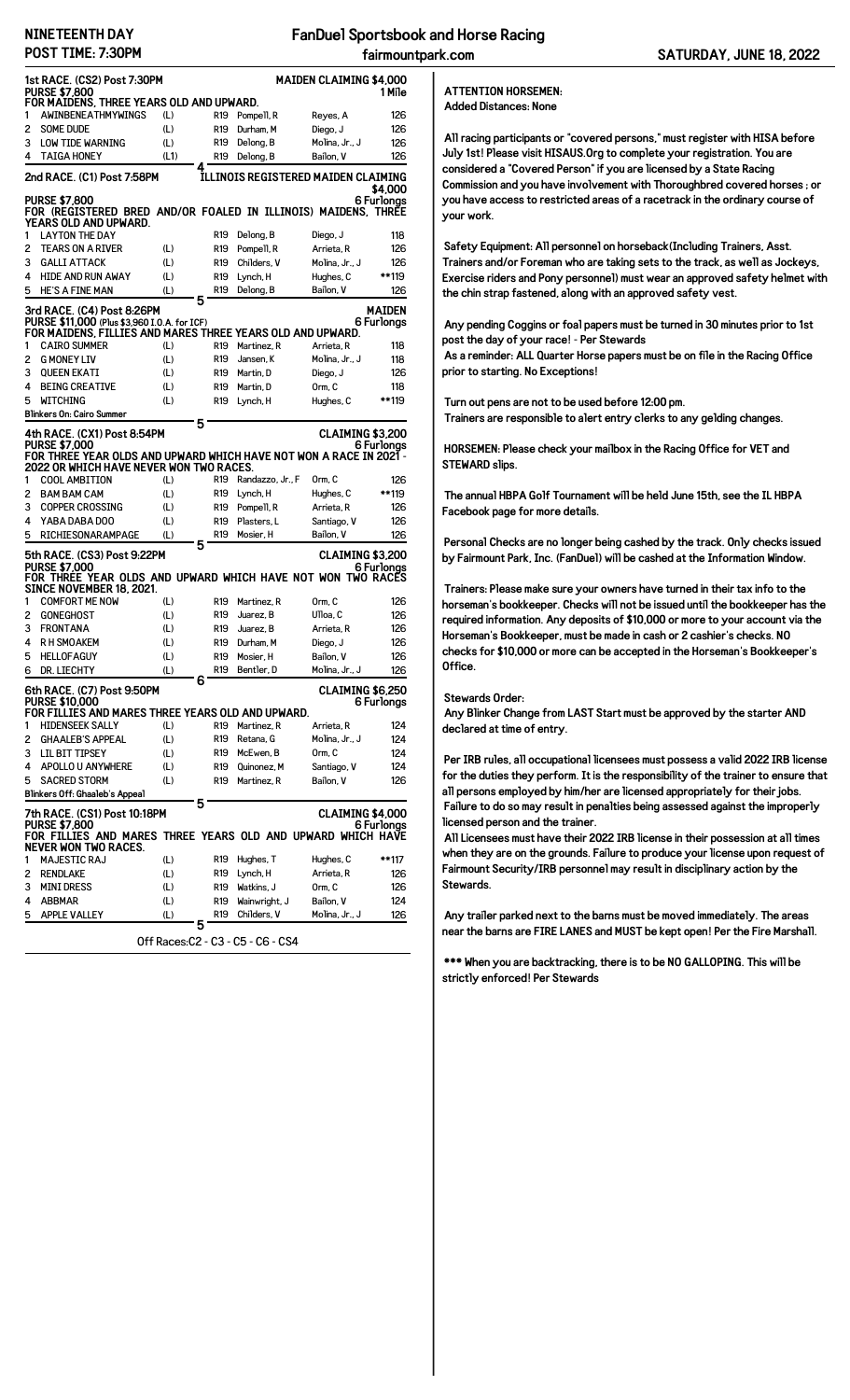## **NINETEENTH DAY POST TIME: 7:30PM**

| <b>1st RACE. (CS2) Post 7:30PM</b><br><b>MAIDEN CLAIMING \$4,000</b><br><b>PURSE \$7,800</b><br>1 Mile<br>FOR MAIDENS, THREE YEARS OLD AND UPWARD. |                                                                                                               |      |                      |                  |                         |            |  |  |
|----------------------------------------------------------------------------------------------------------------------------------------------------|---------------------------------------------------------------------------------------------------------------|------|----------------------|------------------|-------------------------|------------|--|--|
|                                                                                                                                                    |                                                                                                               |      |                      |                  |                         |            |  |  |
| 1                                                                                                                                                  | AWINBENEATHMYWINGS                                                                                            | (L)  | R <sub>19</sub>      | Pompell, R       | Reyes, A                | 126        |  |  |
| 2                                                                                                                                                  | <b>SOME DUDE</b>                                                                                              | (L)  | R <sub>19</sub>      | Durham, M        | Diego, J                | 126        |  |  |
| 3                                                                                                                                                  | <b>LOW TIDE WARNING</b>                                                                                       | (L)  | R <sub>19</sub>      | Delong, B        | Molina, Jr., J          | 126        |  |  |
| 4                                                                                                                                                  | <b>TAIGA HONEY</b>                                                                                            | (L1) | R <sub>19</sub><br>4 | Delong, B        | Bailon, V               | 126        |  |  |
| ILLINOIS REGISTERED MAIDEN CLAIMING<br>2nd RACE. (C1) Post 7:58PM<br>\$4,000                                                                       |                                                                                                               |      |                      |                  |                         |            |  |  |
| <b>PURSE \$7,800</b><br>6 Furlonas<br>FOR (REGISTERED BRED AND/OR FOALED IN ILLINOIS) MAIDENS, THREE<br>YEARS OLD AND UPWARD.                      |                                                                                                               |      |                      |                  |                         |            |  |  |
| 1                                                                                                                                                  | <b>LAYTON THE DAY</b>                                                                                         |      | R <sub>19</sub>      | Delong, B        | Diego, J                | 118        |  |  |
| 2                                                                                                                                                  | <b>TEARS ON A RIVER</b>                                                                                       | (L)  | R <sub>19</sub>      | Pompell, R       | Arrieta, R              | 126        |  |  |
| 3                                                                                                                                                  | <b>GALLI ATTACK</b>                                                                                           | (L)  | R <sub>19</sub>      | Childers, V      | Molina, Jr., J          | 126        |  |  |
| 4                                                                                                                                                  | <b>HIDE AND RUN AWAY</b>                                                                                      | (L)  | R <sub>19</sub>      | Lynch, H         | Hughes, C               | **119      |  |  |
| 5                                                                                                                                                  | <b>HE'S A FINE MAN</b>                                                                                        | (L)  | R <sub>19</sub><br>5 | Delong, B        | Bailon, V               | 126        |  |  |
| <b>MAIDEN</b><br>3rd RACE. (C4) Post 8:26PM                                                                                                        |                                                                                                               |      |                      |                  |                         |            |  |  |
|                                                                                                                                                    | PURSE \$11,000 (Plus \$3,960 I.O.A. for ICF)                                                                  |      |                      |                  |                         | 6 Furlongs |  |  |
|                                                                                                                                                    | FOR MAIDENS, FILLIES AND MARES THREE YEARS OLD AND UPWARD.                                                    |      |                      |                  |                         |            |  |  |
| 1                                                                                                                                                  | <b>CAIRO SUMMER</b>                                                                                           | (L)  | R <sub>19</sub>      | Martinez, R      | Arrieta, R              | 118        |  |  |
| 2                                                                                                                                                  | <b>G MONEY LIV</b>                                                                                            | (L)  | R <sub>19</sub>      | Jansen, K        | Molina, Jr., J          | 118        |  |  |
| 3                                                                                                                                                  | <b>QUEEN EKATI</b>                                                                                            | (L)  | R <sub>19</sub>      | Martin, D        | Diego, J                | 126        |  |  |
| 4                                                                                                                                                  | <b>BEING CREATIVE</b>                                                                                         | (L)  | R <sub>19</sub>      | Martin, D        | Orm, C                  | 118        |  |  |
| 5                                                                                                                                                  | <b>WITCHING</b>                                                                                               | (L)  | R <sub>19</sub>      | Lynch, H         | Hughes, C               | **119      |  |  |
|                                                                                                                                                    | <b>Blinkers On: Cairo Summer</b>                                                                              |      | 5                    |                  |                         |            |  |  |
|                                                                                                                                                    | 4th RACE. (CX1) Post 8:54PM                                                                                   |      |                      |                  | <b>CLAIMING \$3,200</b> |            |  |  |
|                                                                                                                                                    | <b>PURSE \$7.000</b>                                                                                          |      |                      |                  |                         | 6 Furlonas |  |  |
|                                                                                                                                                    | FOR THREE YEAR OLDS AND UPWARD WHICH HAVE NOT WON A RACE IN 2021 -<br>2022 OR WHICH HAVE NEVER WON TWO RACES. |      |                      |                  |                         |            |  |  |
| 1                                                                                                                                                  | <b>COOL AMBITION</b>                                                                                          | (L)  | R <sub>19</sub>      | Randazzo, Jr., F | Orm, C                  | 126        |  |  |
| 2                                                                                                                                                  | <b>BAM BAM CAM</b>                                                                                            | (L)  | R <sub>19</sub>      | Lynch, H         | Hughes, C               | **119      |  |  |
| 3                                                                                                                                                  | <b>COPPER CROSSING</b>                                                                                        | (L)  | R <sub>19</sub>      | Pompell, R       | Arrieta, R              | 126        |  |  |
| 4                                                                                                                                                  | YABA DABA DOO                                                                                                 | (L)  | R <sub>19</sub>      | Plasters, L      | Santiago, V             | 126        |  |  |
| 5                                                                                                                                                  | RICHIESONARAMPAGE                                                                                             | (L)  | R <sub>19</sub>      | Mosier, H        | Bailon, V               | 126        |  |  |
|                                                                                                                                                    |                                                                                                               |      | 5                    |                  |                         |            |  |  |
|                                                                                                                                                    | 5th RACE. (CS3) Post 9:22PM<br><b>PURSE \$7,000</b>                                                           |      |                      |                  | CLAIMING \$3,200        |            |  |  |
|                                                                                                                                                    | FOR THREE YEAR OLDS AND UPWARD WHICH HAVE NOT WON TWO RACES                                                   |      |                      |                  |                         | 6 Furlonas |  |  |
|                                                                                                                                                    | SINCE NOVEMBER 18. 2021.                                                                                      |      |                      |                  |                         |            |  |  |
| 1                                                                                                                                                  | <b>COMFORT ME NOW</b>                                                                                         | (L)  | R19                  | Martinez, R      | Orm, C                  | 126        |  |  |
| 2                                                                                                                                                  | <b>GONEGHOST</b>                                                                                              | (L)  | R <sub>19</sub>      | Juarez, B        | Ulloa, C                | 126        |  |  |
| з                                                                                                                                                  | <b>FRONTANA</b>                                                                                               | (L)  | R <sub>19</sub>      | Juarez, B        | Arrieta, R              | 126        |  |  |
| 4                                                                                                                                                  | R H SMOAKEM                                                                                                   | (L)  | R <sub>19</sub>      | Durham, M        | Diego, J                | 126        |  |  |
| 5                                                                                                                                                  | <b>HELLOFAGUY</b>                                                                                             | (L)  | R <sub>19</sub>      | Mosier, H        | Bailon, V               | 126        |  |  |
| 6                                                                                                                                                  | DR. LIECHTY                                                                                                   | (L)  | R <sub>19</sub>      | Bentler, D       | Molina, Jr., J          | 126        |  |  |
|                                                                                                                                                    |                                                                                                               |      | 6                    |                  | CLAIMING \$6,250        |            |  |  |
|                                                                                                                                                    | 6th RACE. (C7) Post 9:50PM<br><b>PURSE \$10,000</b>                                                           |      |                      |                  |                         |            |  |  |
| 6 Furlongs<br>FOR FILLIES AND MARES THREE YEARS OLD AND UPWARD.                                                                                    |                                                                                                               |      |                      |                  |                         |            |  |  |
| 1                                                                                                                                                  | <b>HIDENSEEK SALLY</b>                                                                                        | (L)  | R19                  | Martinez, R      | Arrieta, R              | 124        |  |  |
| 2                                                                                                                                                  | <b>GHAALEB'S APPEAL</b>                                                                                       | (L)  | R19                  | Retana, G        | Molina, Jr., J          | 124        |  |  |
| з                                                                                                                                                  | <b>LIL BIT TIPSEY</b>                                                                                         | (L)  | R19                  | McEwen, B        | Orm, C                  | 124        |  |  |
| 4                                                                                                                                                  | APOLLO U ANYWHERE                                                                                             | (L)  | R19                  | Quinonez, M      | Santiago, V             | 124        |  |  |
| 5                                                                                                                                                  | <b>SACRED STORM</b>                                                                                           | (L)  | R <sub>19</sub>      | Martinez, R      | Bailon, V               | 126        |  |  |
|                                                                                                                                                    | Blinkers Off: Ghaaleb's Appeal                                                                                |      |                      |                  |                         |            |  |  |
|                                                                                                                                                    |                                                                                                               |      | 5                    |                  |                         |            |  |  |
|                                                                                                                                                    | 7th RACE. (CS1) Post 10:18PM<br><b>PURSE \$7.800</b>                                                          |      |                      |                  | <b>CLAIMING \$4,000</b> | 6 Furlonas |  |  |
|                                                                                                                                                    | FOR FILLIES AND MARES THREE YEARS OLD AND UPWARD WHICH HAVE                                                   |      |                      |                  |                         |            |  |  |
|                                                                                                                                                    | NEVER WON TWO RACES.                                                                                          |      |                      |                  |                         |            |  |  |
| 1                                                                                                                                                  | <b>MAJESTIC RAJ</b>                                                                                           | (L)  | R19                  | Hughes, T        | Hughes, C               | **117      |  |  |
| 2                                                                                                                                                  | <b>RENDLAKE</b>                                                                                               | (L)  | R19                  | Lynch, H         | Arrieta, R              | 126        |  |  |
| з                                                                                                                                                  | <b>MINI DRESS</b>                                                                                             | (L)  | R19                  | Watkins, J       | Orm, C                  | 126        |  |  |
| 4                                                                                                                                                  | <b>ABBMAR</b>                                                                                                 | (L)  | R19                  | Wainwright, J    | Bailon, V               | 124        |  |  |
| 5                                                                                                                                                  | <b>APPLE VALLEY</b>                                                                                           | (L)  | R19                  | Childers, V      | Molina, Jr., J          | 126        |  |  |
|                                                                                                                                                    |                                                                                                               |      | 5.                   |                  |                         |            |  |  |
| Off Races:C2 - C3 - C5 - C6 - CS4                                                                                                                  |                                                                                                               |      |                      |                  |                         |            |  |  |

## **ATTENTION HORSEMEN: Added Distances: None**

**All racing participants or "covered persons," must register with HISA before July 1st! Please visit HISAUS.Org to complete your registration. You are considered a "Covered Person" if you are licensed by a State Racing Commission and you have involvement with Thoroughbred covered horses ; or you have access to restricted areas of a racetrack in the ordinary course of your work.**

**Safety Equipment: All personnel on horseback(Including Trainers, Asst. Trainers and/or Foreman who are taking sets to the track, as well as Jockeys, Exercise riders and Pony personnel) must wear an approved safety helmet with the chin strap fastened, along with an approved safety vest.**

**Any pending Coggins or foal papers must be turned in 30 minutes prior to 1st post the day of your race! - Per Stewards As a reminder: ALL Quarter Horse papers must be on file in the Racing Office prior to starting. No Exceptions!**

**Turn out pens are not to be used before 12:00 pm. Trainers are responsible to alert entry clerks to any gelding changes.**

**HORSEMEN: Please check your mailbox in the Racing Office for VET and STEWARD slips.**

**The annual HBPA Golf Tournament will be held June 15th, see the IL HBPA Facebook page for more details.**

**Personal Checks are no longer being cashed by the track. Only checks issued by Fairmount Park, Inc. (FanDuel) will be cashed at the Information Window.**

**Trainers: Please make sure your owners have turned in their tax info to the horseman's bookkeeper. Checks will not be issued until the bookkeeper has the required information. Any deposits of \$10,000 or more to your account via the Horseman's Bookkeeper, must be made in cash or 2 cashier's checks. NO checks for \$10,000 or more can be accepted in the Horseman's Bookkeeper's Office.**

## **Stewards Order:**

**Any Blinker Change from LAST Start must be approved by the starter AND declared at time of entry.**

**Per IRB rules, all occupational licensees must possess a valid 2022 IRB license for the duties they perform. It is the responsibility of the trainer to ensure that all persons employed by him/her are licensed appropriately for their jobs. Failure to do so may result in penalties being assessed against the improperly licensed person and the trainer.**

**All Licensees must have their 2022 IRB license in their possession at all times when they are on the grounds. Failure to produce your license upon request of Fairmount Security/IRB personnel may result in disciplinary action by the Stewards.**

**Any trailer parked next to the barns must be moved immediately. The areas near the barns are FIRE LANES and MUST be kept open! Per the Fire Marshall.**

**\*\*\* When you are backtracking, there is to be NO GALLOPING. This will be strictly enforced! Per Stewards**